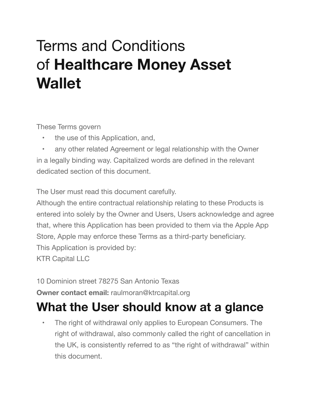# Terms and Conditions of **Healthcare Money Asset Wallet**

These Terms govern

- the use of this Application, and,
- any other related Agreement or legal relationship with the Owner in a legally binding way. Capitalized words are defined in the relevant dedicated section of this document.

The User must read this document carefully.

Although the entire contractual relationship relating to these Products is entered into solely by the Owner and Users, Users acknowledge and agree that, where this Application has been provided to them via the Apple App Store, Apple may enforce these Terms as a third-party beneficiary. This Application is provided by: KTR Capital LLC

10 Dominion street 78275 San Antonio Texas

**Owner contact email:** raulmoran@ktrcapital.org

## **What the User should know at a glance**

• The right of withdrawal only applies to European Consumers. The right of withdrawal, also commonly called the right of cancellation in the UK, is consistently referred to as "the right of withdrawal" within this document.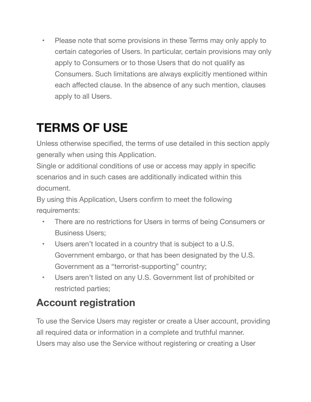• Please note that some provisions in these Terms may only apply to certain categories of Users. In particular, certain provisions may only apply to Consumers or to those Users that do not qualify as Consumers. Such limitations are always explicitly mentioned within each affected clause. In the absence of any such mention, clauses apply to all Users.

## **TERMS OF USE**

Unless otherwise specified, the terms of use detailed in this section apply generally when using this Application.

Single or additional conditions of use or access may apply in specific scenarios and in such cases are additionally indicated within this document.

By using this Application, Users confirm to meet the following requirements:

- There are no restrictions for Users in terms of being Consumers or Business Users;
- Users aren't located in a country that is subject to a U.S. Government embargo, or that has been designated by the U.S. Government as a "terrorist-supporting" country;
- Users aren't listed on any U.S. Government list of prohibited or restricted parties;

## **Account registration**

To use the Service Users may register or create a User account, providing all required data or information in a complete and truthful manner. Users may also use the Service without registering or creating a User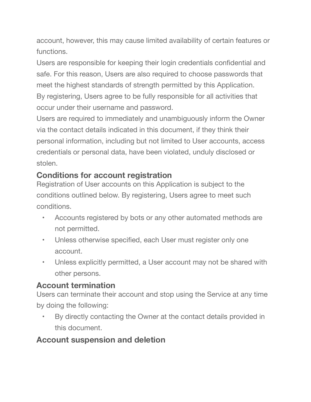account, however, this may cause limited availability of certain features or functions.

Users are responsible for keeping their login credentials confidential and safe. For this reason, Users are also required to choose passwords that meet the highest standards of strength permitted by this Application. By registering, Users agree to be fully responsible for all activities that occur under their username and password.

Users are required to immediately and unambiguously inform the Owner via the contact details indicated in this document, if they think their personal information, including but not limited to User accounts, access credentials or personal data, have been violated, unduly disclosed or stolen.

#### **Conditions for account registration**

Registration of User accounts on this Application is subject to the conditions outlined below. By registering, Users agree to meet such conditions.

- Accounts registered by bots or any other automated methods are not permitted.
- Unless otherwise specified, each User must register only one account.
- Unless explicitly permitted, a User account may not be shared with other persons.

#### **Account termination**

Users can terminate their account and stop using the Service at any time by doing the following:

• By directly contacting the Owner at the contact details provided in this document.

#### **Account suspension and deletion**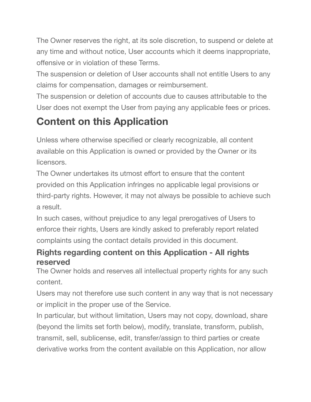The Owner reserves the right, at its sole discretion, to suspend or delete at any time and without notice, User accounts which it deems inappropriate, offensive or in violation of these Terms.

The suspension or deletion of User accounts shall not entitle Users to any claims for compensation, damages or reimbursement.

The suspension or deletion of accounts due to causes attributable to the User does not exempt the User from paying any applicable fees or prices.

## **Content on this Application**

Unless where otherwise specified or clearly recognizable, all content available on this Application is owned or provided by the Owner or its licensors.

The Owner undertakes its utmost effort to ensure that the content provided on this Application infringes no applicable legal provisions or third-party rights. However, it may not always be possible to achieve such a result.

In such cases, without prejudice to any legal prerogatives of Users to enforce their rights, Users are kindly asked to preferably report related complaints using the contact details provided in this document.

#### **Rights regarding content on this Application - All rights reserved**

The Owner holds and reserves all intellectual property rights for any such content.

Users may not therefore use such content in any way that is not necessary or implicit in the proper use of the Service.

In particular, but without limitation, Users may not copy, download, share (beyond the limits set forth below), modify, translate, transform, publish, transmit, sell, sublicense, edit, transfer/assign to third parties or create derivative works from the content available on this Application, nor allow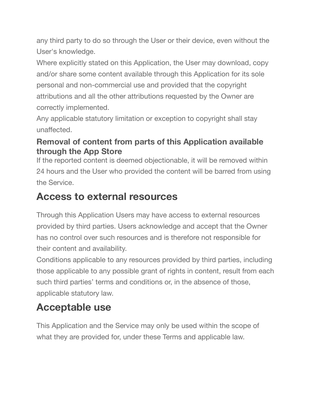any third party to do so through the User or their device, even without the User's knowledge.

Where explicitly stated on this Application, the User may download, copy and/or share some content available through this Application for its sole personal and non-commercial use and provided that the copyright attributions and all the other attributions requested by the Owner are correctly implemented.

Any applicable statutory limitation or exception to copyright shall stay unaffected.

#### **Removal of content from parts of this Application available through the App Store**

If the reported content is deemed objectionable, it will be removed within 24 hours and the User who provided the content will be barred from using the Service.

#### **Access to external resources**

Through this Application Users may have access to external resources provided by third parties. Users acknowledge and accept that the Owner has no control over such resources and is therefore not responsible for their content and availability.

Conditions applicable to any resources provided by third parties, including those applicable to any possible grant of rights in content, result from each such third parties' terms and conditions or, in the absence of those, applicable statutory law.

## **Acceptable use**

This Application and the Service may only be used within the scope of what they are provided for, under these Terms and applicable law.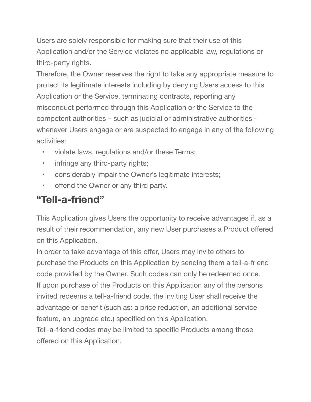Users are solely responsible for making sure that their use of this Application and/or the Service violates no applicable law, regulations or third-party rights.

Therefore, the Owner reserves the right to take any appropriate measure to protect its legitimate interests including by denying Users access to this Application or the Service, terminating contracts, reporting any misconduct performed through this Application or the Service to the competent authorities – such as judicial or administrative authorities whenever Users engage or are suspected to engage in any of the following activities:

- violate laws, regulations and/or these Terms;
- infringe any third-party rights;
- considerably impair the Owner's legitimate interests;
- offend the Owner or any third party.

## **"Tell-a-friend"**

This Application gives Users the opportunity to receive advantages if, as a result of their recommendation, any new User purchases a Product offered on this Application.

In order to take advantage of this offer, Users may invite others to purchase the Products on this Application by sending them a tell-a-friend code provided by the Owner. Such codes can only be redeemed once. If upon purchase of the Products on this Application any of the persons invited redeems a tell-a-friend code, the inviting User shall receive the advantage or benefit (such as: a price reduction, an additional service feature, an upgrade etc.) specified on this Application.

Tell-a-friend codes may be limited to specific Products among those offered on this Application.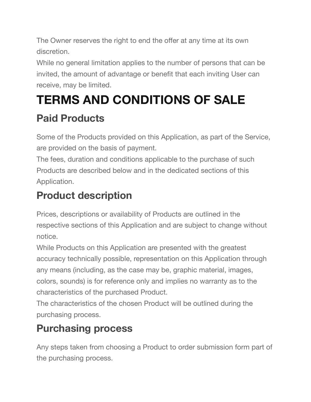The Owner reserves the right to end the offer at any time at its own discretion.

While no general limitation applies to the number of persons that can be invited, the amount of advantage or benefit that each inviting User can receive, may be limited.

# **TERMS AND CONDITIONS OF SALE**

## **Paid Products**

Some of the Products provided on this Application, as part of the Service, are provided on the basis of payment.

The fees, duration and conditions applicable to the purchase of such Products are described below and in the dedicated sections of this Application.

## **Product description**

Prices, descriptions or availability of Products are outlined in the respective sections of this Application and are subject to change without notice.

While Products on this Application are presented with the greatest accuracy technically possible, representation on this Application through any means (including, as the case may be, graphic material, images, colors, sounds) is for reference only and implies no warranty as to the characteristics of the purchased Product.

The characteristics of the chosen Product will be outlined during the purchasing process.

## **Purchasing process**

Any steps taken from choosing a Product to order submission form part of the purchasing process.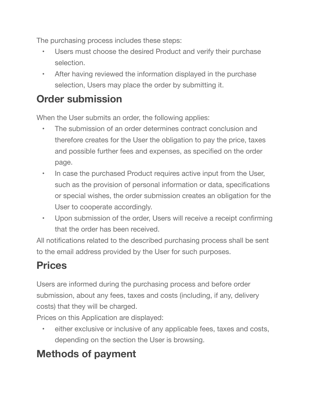The purchasing process includes these steps:

- Users must choose the desired Product and verify their purchase selection.
- After having reviewed the information displayed in the purchase selection, Users may place the order by submitting it.

## **Order submission**

When the User submits an order, the following applies:

- The submission of an order determines contract conclusion and therefore creates for the User the obligation to pay the price, taxes and possible further fees and expenses, as specified on the order page.
- In case the purchased Product requires active input from the User, such as the provision of personal information or data, specifications or special wishes, the order submission creates an obligation for the User to cooperate accordingly.
- Upon submission of the order, Users will receive a receipt confirming that the order has been received.

All notifications related to the described purchasing process shall be sent to the email address provided by the User for such purposes.

## **Prices**

Users are informed during the purchasing process and before order submission, about any fees, taxes and costs (including, if any, delivery costs) that they will be charged.

Prices on this Application are displayed:

either exclusive or inclusive of any applicable fees, taxes and costs, depending on the section the User is browsing.

## **Methods of payment**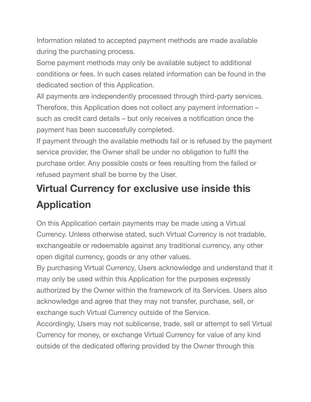Information related to accepted payment methods are made available during the purchasing process.

Some payment methods may only be available subject to additional conditions or fees. In such cases related information can be found in the dedicated section of this Application.

All payments are independently processed through third-party services. Therefore, this Application does not collect any payment information – such as credit card details – but only receives a notification once the payment has been successfully completed.

If payment through the available methods fail or is refused by the payment service provider, the Owner shall be under no obligation to fulfil the purchase order. Any possible costs or fees resulting from the failed or refused payment shall be borne by the User.

## **Virtual Currency for exclusive use inside this Application**

On this Application certain payments may be made using a Virtual Currency. Unless otherwise stated, such Virtual Currency is not tradable, exchangeable or redeemable against any traditional currency, any other open digital currency, goods or any other values.

By purchasing Virtual Currency, Users acknowledge and understand that it may only be used within this Application for the purposes expressly authorized by the Owner within the framework of its Services. Users also acknowledge and agree that they may not transfer, purchase, sell, or exchange such Virtual Currency outside of the Service.

Accordingly, Users may not sublicense, trade, sell or attempt to sell Virtual Currency for money, or exchange Virtual Currency for value of any kind outside of the dedicated offering provided by the Owner through this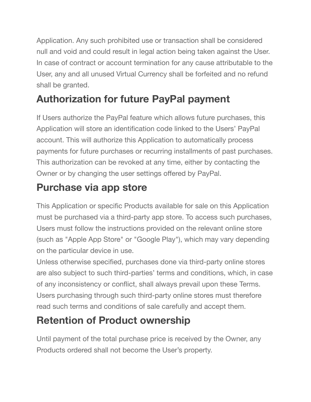Application. Any such prohibited use or transaction shall be considered null and void and could result in legal action being taken against the User. In case of contract or account termination for any cause attributable to the User, any and all unused Virtual Currency shall be forfeited and no refund shall be granted.

## **Authorization for future PayPal payment**

If Users authorize the PayPal feature which allows future purchases, this Application will store an identification code linked to the Users' PayPal account. This will authorize this Application to automatically process payments for future purchases or recurring installments of past purchases. This authorization can be revoked at any time, either by contacting the Owner or by changing the user settings offered by PayPal.

## **Purchase via app store**

This Application or specific Products available for sale on this Application must be purchased via a third-party app store. To access such purchases, Users must follow the instructions provided on the relevant online store (such as "Apple App Store" or "Google Play"), which may vary depending on the particular device in use.

Unless otherwise specified, purchases done via third-party online stores are also subject to such third-parties' terms and conditions, which, in case of any inconsistency or conflict, shall always prevail upon these Terms. Users purchasing through such third-party online stores must therefore read such terms and conditions of sale carefully and accept them.

## **Retention of Product ownership**

Until payment of the total purchase price is received by the Owner, any Products ordered shall not become the User's property.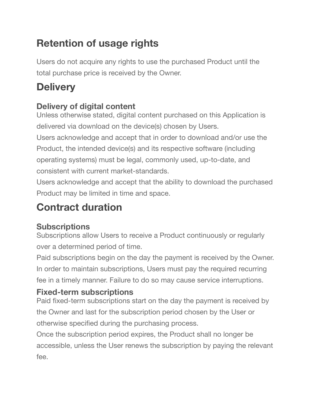## **Retention of usage rights**

Users do not acquire any rights to use the purchased Product until the total purchase price is received by the Owner.

## **Delivery**

#### **Delivery of digital content**

Unless otherwise stated, digital content purchased on this Application is delivered via download on the device(s) chosen by Users.

Users acknowledge and accept that in order to download and/or use the Product, the intended device(s) and its respective software (including operating systems) must be legal, commonly used, up-to-date, and consistent with current market-standards.

Users acknowledge and accept that the ability to download the purchased Product may be limited in time and space.

## **Contract duration**

#### **Subscriptions**

Subscriptions allow Users to receive a Product continuously or regularly over a determined period of time.

Paid subscriptions begin on the day the payment is received by the Owner. In order to maintain subscriptions, Users must pay the required recurring fee in a timely manner. Failure to do so may cause service interruptions.

#### **Fixed-term subscriptions**

Paid fixed-term subscriptions start on the day the payment is received by the Owner and last for the subscription period chosen by the User or otherwise specified during the purchasing process.

Once the subscription period expires, the Product shall no longer be accessible, unless the User renews the subscription by paying the relevant fee.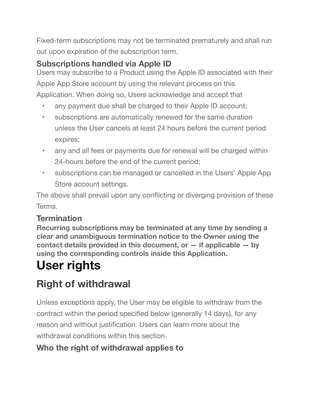Fixed-term subscriptions may not be terminated prematurely and shall run out upon expiration of the subscription term.

#### **Subscriptions handled via Apple ID**

Users may subscribe to a Product using the Apple ID associated with their Apple App Store account by using the relevant process on this Application. When doing so, Users acknowledge and accept that

- any payment due shall be charged to their Apple ID account;
- subscriptions are automatically renewed for the same duration unless the User cancels at least 24 hours before the current period expires;
- any and all fees or payments due for renewal will be charged within 24-hours before the end of the current period;
- subscriptions can be managed or cancelled in the Users' Apple App Store account settings.

The above shall prevail upon any conflicting or diverging provision of these Terms.

#### **Termination**

**Recurring subscriptions may be terminated at any time by sending a clear and unambiguous termination notice to the Owner using the contact details provided in this document, or — if applicable — by using the corresponding controls inside this Application.**

# **User rights**

## **Right of withdrawal**

Unless exceptions apply, the User may be eligible to withdraw from the contract within the period specified below (generally 14 days), for any reason and without justification. Users can learn more about the withdrawal conditions within this section.

#### **Who the right of withdrawal applies to**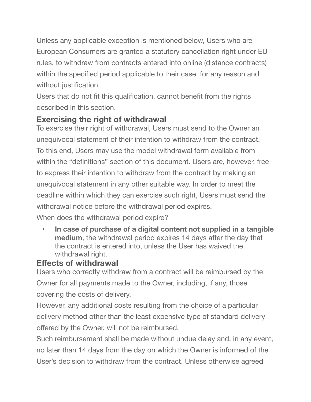Unless any applicable exception is mentioned below, Users who are European Consumers are granted a statutory cancellation right under EU rules, to withdraw from contracts entered into online (distance contracts) within the specified period applicable to their case, for any reason and without justification.

Users that do not fit this qualification, cannot benefit from the rights described in this section.

#### **Exercising the right of withdrawal**

To exercise their right of withdrawal, Users must send to the Owner an unequivocal statement of their intention to withdraw from the contract. To this end, Users may use the model withdrawal form available from within the "definitions" section of this document. Users are, however, free to express their intention to withdraw from the contract by making an unequivocal statement in any other suitable way. In order to meet the deadline within which they can exercise such right, Users must send the withdrawal notice before the withdrawal period expires.

When does the withdrawal period expire?

**• In case of purchase of a digital content not supplied in a tangible medium**, the withdrawal period expires 14 days after the day that the contract is entered into, unless the User has waived the withdrawal right.

#### **Effects of withdrawal**

Users who correctly withdraw from a contract will be reimbursed by the Owner for all payments made to the Owner, including, if any, those covering the costs of delivery.

However, any additional costs resulting from the choice of a particular delivery method other than the least expensive type of standard delivery offered by the Owner, will not be reimbursed.

Such reimbursement shall be made without undue delay and, in any event, no later than 14 days from the day on which the Owner is informed of the User's decision to withdraw from the contract. Unless otherwise agreed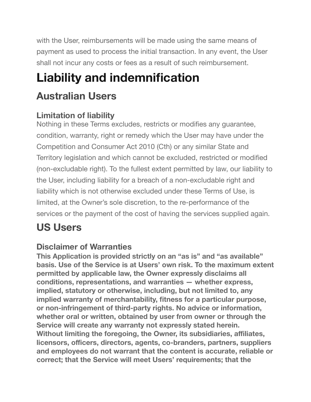with the User, reimbursements will be made using the same means of payment as used to process the initial transaction. In any event, the User shall not incur any costs or fees as a result of such reimbursement.

# **Liability and indemnification**

## **Australian Users**

#### **Limitation of liability**

Nothing in these Terms excludes, restricts or modifies any guarantee, condition, warranty, right or remedy which the User may have under the Competition and Consumer Act 2010 (Cth) or any similar State and Territory legislation and which cannot be excluded, restricted or modified (non-excludable right). To the fullest extent permitted by law, our liability to the User, including liability for a breach of a non-excludable right and liability which is not otherwise excluded under these Terms of Use, is limited, at the Owner's sole discretion, to the re-performance of the services or the payment of the cost of having the services supplied again.

## **US Users**

#### **Disclaimer of Warranties**

**This Application is provided strictly on an "as is" and "as available" basis. Use of the Service is at Users' own risk. To the maximum extent permitted by applicable law, the Owner expressly disclaims all conditions, representations, and warranties — whether express, implied, statutory or otherwise, including, but not limited to, any implied warranty of merchantability, fitness for a particular purpose, or non-infringement of third-party rights. No advice or information, whether oral or written, obtained by user from owner or through the Service will create any warranty not expressly stated herein. Without limiting the foregoing, the Owner, its subsidiaries, affiliates, licensors, officers, directors, agents, co-branders, partners, suppliers and employees do not warrant that the content is accurate, reliable or correct; that the Service will meet Users' requirements; that the**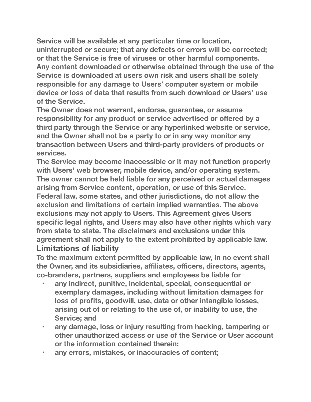**Service will be available at any particular time or location, uninterrupted or secure; that any defects or errors will be corrected; or that the Service is free of viruses or other harmful components. Any content downloaded or otherwise obtained through the use of the Service is downloaded at users own risk and users shall be solely responsible for any damage to Users' computer system or mobile device or loss of data that results from such download or Users' use of the Service.**

**The Owner does not warrant, endorse, guarantee, or assume responsibility for any product or service advertised or offered by a third party through the Service or any hyperlinked website or service, and the Owner shall not be a party to or in any way monitor any transaction between Users and third-party providers of products or services.**

**The Service may become inaccessible or it may not function properly with Users' web browser, mobile device, and/or operating system. The owner cannot be held liable for any perceived or actual damages arising from Service content, operation, or use of this Service. Federal law, some states, and other jurisdictions, do not allow the exclusion and limitations of certain implied warranties. The above exclusions may not apply to Users. This Agreement gives Users specific legal rights, and Users may also have other rights which vary from state to state. The disclaimers and exclusions under this agreement shall not apply to the extent prohibited by applicable law. Limitations of liability** 

**To the maximum extent permitted by applicable law, in no event shall the Owner, and its subsidiaries, affiliates, officers, directors, agents, co-branders, partners, suppliers and employees be liable for**

- **• any indirect, punitive, incidental, special, consequential or exemplary damages, including without limitation damages for loss of profits, goodwill, use, data or other intangible losses, arising out of or relating to the use of, or inability to use, the Service; and**
- **• any damage, loss or injury resulting from hacking, tampering or other unauthorized access or use of the Service or User account or the information contained therein;**
- **• any errors, mistakes, or inaccuracies of content;**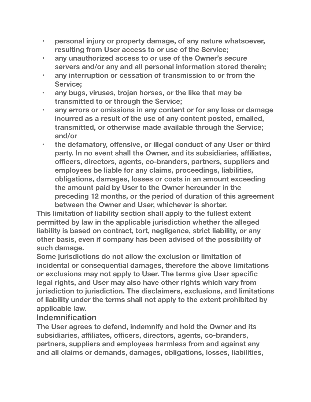- **• personal injury or property damage, of any nature whatsoever, resulting from User access to or use of the Service;**
- **• any unauthorized access to or use of the Owner's secure servers and/or any and all personal information stored therein;**
- **• any interruption or cessation of transmission to or from the Service;**
- **• any bugs, viruses, trojan horses, or the like that may be transmitted to or through the Service;**
- **• any errors or omissions in any content or for any loss or damage incurred as a result of the use of any content posted, emailed, transmitted, or otherwise made available through the Service; and/or**
- **•** the defamatory, offensive, or illegal conduct of any User or third **party. In no event shall the Owner, and its subsidiaries, affiliates, officers, directors, agents, co-branders, partners, suppliers and employees be liable for any claims, proceedings, liabilities, obligations, damages, losses or costs in an amount exceeding the amount paid by User to the Owner hereunder in the preceding 12 months, or the period of duration of this agreement between the Owner and User, whichever is shorter.**

**This limitation of liability section shall apply to the fullest extent permitted by law in the applicable jurisdiction whether the alleged liability is based on contract, tort, negligence, strict liability, or any other basis, even if company has been advised of the possibility of such damage.**

**Some jurisdictions do not allow the exclusion or limitation of incidental or consequential damages, therefore the above limitations or exclusions may not apply to User. The terms give User specific legal rights, and User may also have other rights which vary from jurisdiction to jurisdiction. The disclaimers, exclusions, and limitations of liability under the terms shall not apply to the extent prohibited by applicable law.**

#### **Indemnification**

**The User agrees to defend, indemnify and hold the Owner and its subsidiaries, affiliates, officers, directors, agents, co-branders, partners, suppliers and employees harmless from and against any and all claims or demands, damages, obligations, losses, liabilities,**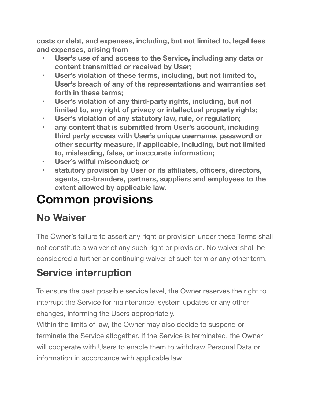**costs or debt, and expenses, including, but not limited to, legal fees and expenses, arising from**

- **• User's use of and access to the Service, including any data or content transmitted or received by User;**
- **• User's violation of these terms, including, but not limited to, User's breach of any of the representations and warranties set forth in these terms;**
- **• User's violation of any third-party rights, including, but not limited to, any right of privacy or intellectual property rights;**
- **• User's violation of any statutory law, rule, or regulation;**
- **• any content that is submitted from User's account, including third party access with User's unique username, password or other security measure, if applicable, including, but not limited to, misleading, false, or inaccurate information;**
- **• User's wilful misconduct; or**
- **• statutory provision by User or its affiliates, officers, directors, agents, co-branders, partners, suppliers and employees to the extent allowed by applicable law.**

# **Common provisions**

## **No Waiver**

The Owner's failure to assert any right or provision under these Terms shall not constitute a waiver of any such right or provision. No waiver shall be considered a further or continuing waiver of such term or any other term.

## **Service interruption**

To ensure the best possible service level, the Owner reserves the right to interrupt the Service for maintenance, system updates or any other changes, informing the Users appropriately.

Within the limits of law, the Owner may also decide to suspend or terminate the Service altogether. If the Service is terminated, the Owner will cooperate with Users to enable them to withdraw Personal Data or information in accordance with applicable law.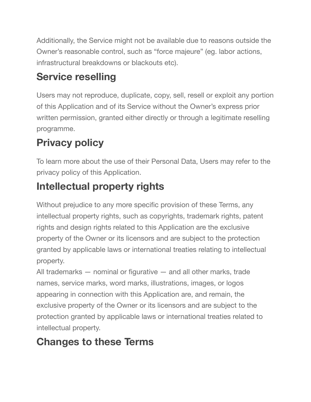Additionally, the Service might not be available due to reasons outside the Owner's reasonable control, such as "force majeure" (eg. labor actions, infrastructural breakdowns or blackouts etc).

## **Service reselling**

Users may not reproduce, duplicate, copy, sell, resell or exploit any portion of this Application and of its Service without the Owner's express prior written permission, granted either directly or through a legitimate reselling programme.

## **Privacy policy**

To learn more about the use of their Personal Data, Users may refer to the privacy policy of this Application.

## **Intellectual property rights**

Without prejudice to any more specific provision of these Terms, any intellectual property rights, such as copyrights, trademark rights, patent rights and design rights related to this Application are the exclusive property of the Owner or its licensors and are subject to the protection granted by applicable laws or international treaties relating to intellectual property.

All trademarks — nominal or figurative — and all other marks, trade names, service marks, word marks, illustrations, images, or logos appearing in connection with this Application are, and remain, the exclusive property of the Owner or its licensors and are subject to the protection granted by applicable laws or international treaties related to intellectual property.

## **Changes to these Terms**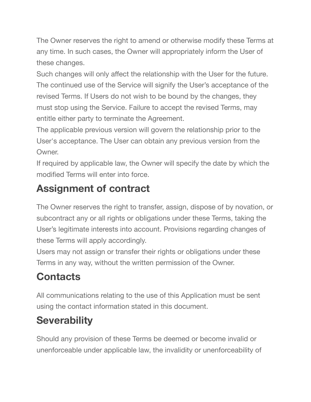The Owner reserves the right to amend or otherwise modify these Terms at any time. In such cases, the Owner will appropriately inform the User of these changes.

Such changes will only affect the relationship with the User for the future. The continued use of the Service will signify the User's acceptance of the revised Terms. If Users do not wish to be bound by the changes, they must stop using the Service. Failure to accept the revised Terms, may entitle either party to terminate the Agreement.

The applicable previous version will govern the relationship prior to the User's acceptance. The User can obtain any previous version from the Owner.

If required by applicable law, the Owner will specify the date by which the modified Terms will enter into force.

## **Assignment of contract**

The Owner reserves the right to transfer, assign, dispose of by novation, or subcontract any or all rights or obligations under these Terms, taking the User's legitimate interests into account. Provisions regarding changes of these Terms will apply accordingly.

Users may not assign or transfer their rights or obligations under these Terms in any way, without the written permission of the Owner.

## **Contacts**

All communications relating to the use of this Application must be sent using the contact information stated in this document.

## **Severability**

Should any provision of these Terms be deemed or become invalid or unenforceable under applicable law, the invalidity or unenforceability of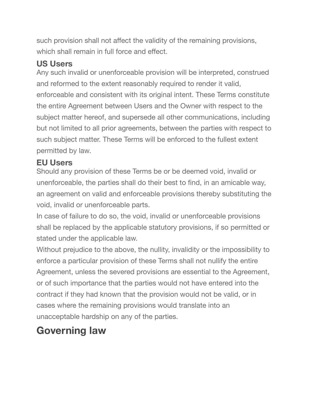such provision shall not affect the validity of the remaining provisions, which shall remain in full force and effect.

#### **US Users**

Any such invalid or unenforceable provision will be interpreted, construed and reformed to the extent reasonably required to render it valid, enforceable and consistent with its original intent. These Terms constitute the entire Agreement between Users and the Owner with respect to the subject matter hereof, and supersede all other communications, including but not limited to all prior agreements, between the parties with respect to such subject matter. These Terms will be enforced to the fullest extent permitted by law.

#### **EU Users**

Should any provision of these Terms be or be deemed void, invalid or unenforceable, the parties shall do their best to find, in an amicable way, an agreement on valid and enforceable provisions thereby substituting the void, invalid or unenforceable parts.

In case of failure to do so, the void, invalid or unenforceable provisions shall be replaced by the applicable statutory provisions, if so permitted or stated under the applicable law.

Without prejudice to the above, the nullity, invalidity or the impossibility to enforce a particular provision of these Terms shall not nullify the entire Agreement, unless the severed provisions are essential to the Agreement, or of such importance that the parties would not have entered into the contract if they had known that the provision would not be valid, or in cases where the remaining provisions would translate into an unacceptable hardship on any of the parties.

## **Governing law**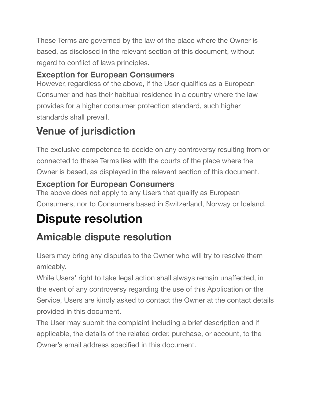These Terms are governed by the law of the place where the Owner is based, as disclosed in the relevant section of this document, without regard to conflict of laws principles.

#### **Exception for European Consumers**

However, regardless of the above, if the User qualifies as a European Consumer and has their habitual residence in a country where the law provides for a higher consumer protection standard, such higher standards shall prevail.

## **Venue of jurisdiction**

The exclusive competence to decide on any controversy resulting from or connected to these Terms lies with the courts of the place where the Owner is based, as displayed in the relevant section of this document.

#### **Exception for European Consumers**

The above does not apply to any Users that qualify as European Consumers, nor to Consumers based in Switzerland, Norway or Iceland.

# **Dispute resolution**

## **Amicable dispute resolution**

Users may bring any disputes to the Owner who will try to resolve them amicably.

While Users' right to take legal action shall always remain unaffected, in the event of any controversy regarding the use of this Application or the Service, Users are kindly asked to contact the Owner at the contact details provided in this document.

The User may submit the complaint including a brief description and if applicable, the details of the related order, purchase, or account, to the Owner's email address specified in this document.